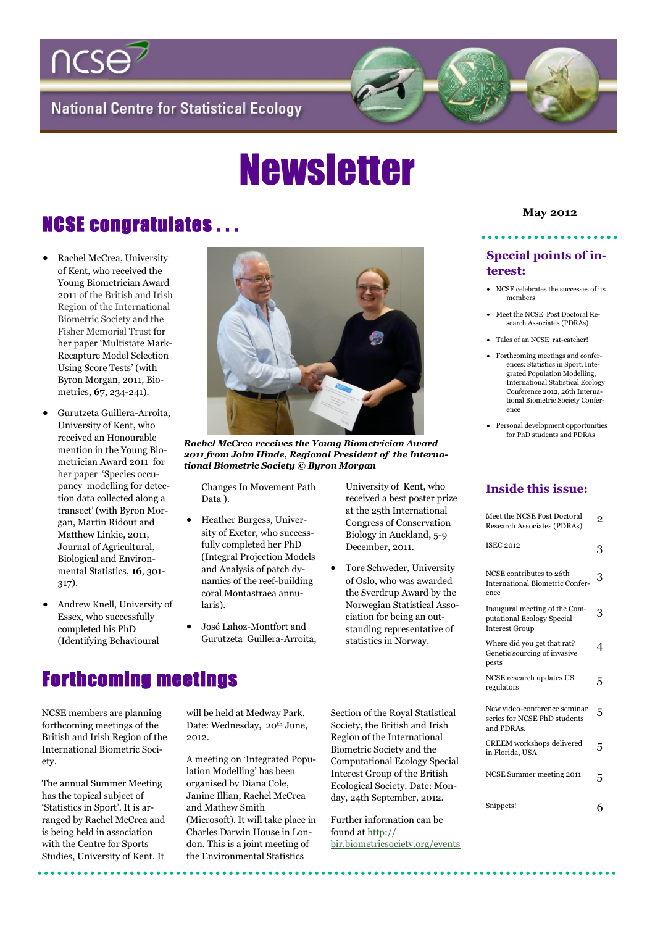

**National Centre for Statistical Ecology** 

# Newsletter

# **NCSE congratulates ... May 2012** May 2012

- Rachel McCrea, University of Kent, who received the Young Biometrician Award 2011 of the British and Irish Region of the International Biometric Society and the Fisher Memorial Trust for her paper 'Multistate Mark-Recapture Model Selection Using Score Tests' (with Byron Morgan, 2011, Biometrics, **67**, 234-241).
- Gurutzeta Guillera-Arroita, University of Kent, who received an Honourable mention in the Young Biometrician Award 2011 for her paper 'Species occupancy modelling for detection data collected along a transect' (with Byron Morgan, Martin Ridout and Matthew Linkie, 2011, Journal of Agricultural, Biological and Environmental Statistics, **16**, 301- 317).
- Andrew Knell, University of Essex, who successfully completed his PhD (Identifying Behavioural



*Rachel McCrea receives the Young Biometrician Award 2011 from John Hinde, Regional President of the International Biometric Society © Byron Morgan*

Changes In Movement Path Data ).

- Heather Burgess, University of Exeter, who successfully completed her PhD (Integral Projection Models and Analysis of patch dynamics of the reef-building coral Montastraea annularis).
- José Lahoz-Montfort and Gurutzeta Guillera-Arroita,

University of Kent, who received a best poster prize at the 25th International Congress of Conservation Biology in Auckland, 5-9 December, 2011.

 Tore Schweder, University of Oslo, who was awarded the Sverdrup Award by the Norwegian Statistical Association for being an outstanding representative of statistics in Norway.

#### **Special points of interest:**

- NCSE celebrates the successes of its members
- Meet the NCSE Post Doctoral Research Associates (PDRAs)
- Tales of an NCSE rat-catcher!
- Forthcoming meetings and conferences: Statistics in Sport, Integrated Population Modelling, International Statistical Ecology Conference 2012, 26th International Biometric Society Conference
- Personal development opportunities for PhD students and PDRAs

#### **Inside this issue:**

| Meet the NCSE Post Doctoral<br>Research Associates (PDRAs)                           | $\overline{2}$ |
|--------------------------------------------------------------------------------------|----------------|
| <b>ISEC 2012</b>                                                                     | 3              |
| NCSE contributes to 26th<br><b>International Biometric Confer-</b><br>ence           | 3              |
| Inaugural meeting of the Com-<br>putational Ecology Special<br><b>Interest Group</b> | 3              |
| Where did you get that rat?<br>Genetic sourcing of invasive<br>pests                 | 4              |
| NCSE research updates US<br>regulators                                               | 5              |
| New video-conference seminar<br>series for NCSE PhD students<br>and PDRAs.           | 5              |
| <b>CREEM</b> workshops delivered<br>in Florida, USA                                  | 5              |
| NCSE Summer meeting 2011                                                             | 5              |
| Snippets!                                                                            |                |

#### Forthcoming meetings

NCSE members are planning forthcoming meetings of the British and Irish Region of the International Biometric Society.

The annual Summer Meeting has the topical subject of 'Statistics in Sport'. It is arranged by Rachel McCrea and is being held in association with the Centre for Sports Studies, University of Kent. It

will be held at Medway Park. Date: Wednesday, 20<sup>th</sup> June, 2012.

A meeting on 'Integrated Population Modelling' has been organised by Diana Cole, Janine Illian, Rachel McCrea and Mathew Smith (Microsoft). It will take place in Charles Darwin House in London. This is a joint meeting of the Environmental Statistics

Section of the Royal Statistical Society, the British and Irish Region of the International Biometric Society and the Computational Ecology Special Interest Group of the British Ecological Society. Date: Monday, 24th September, 2012.

Further information can be found at [http://](http://bir.biometricsociety.org/events) [bir.biometricsociety.org/events](http://bir.biometricsociety.org/events)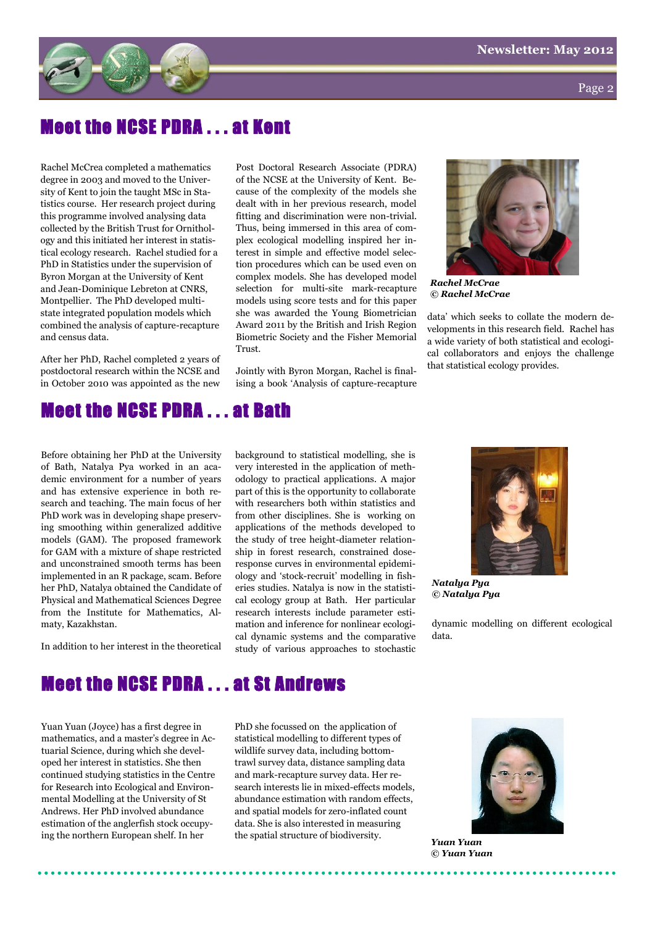

Page 2

### eet the NCSE PDRA . . . at Kent

Rachel McCrea completed a mathematics degree in 2003 and moved to the University of Kent to join the taught MSc in Statistics course. Her research project during this programme involved analysing data collected by the British Trust for Ornithology and this initiated her interest in statistical ecology research. Rachel studied for a PhD in Statistics under the supervision of Byron Morgan at the University of Kent and Jean-Dominique Lebreton at CNRS, Montpellier. The PhD developed multistate integrated population models which combined the analysis of capture-recapture and census data.

After her PhD, Rachel completed 2 years of postdoctoral research within the NCSE and in October 2010 was appointed as the new Post Doctoral Research Associate (PDRA) of the NCSE at the University of Kent. Because of the complexity of the models she dealt with in her previous research, model fitting and discrimination were non-trivial. Thus, being immersed in this area of complex ecological modelling inspired her interest in simple and effective model selection procedures which can be used even on complex models. She has developed model selection for multi-site mark-recapture models using score tests and for this paper she was awarded the Young Biometrician Award 2011 by the British and Irish Region Biometric Society and the Fisher Memorial Trust.

Jointly with Byron Morgan, Rachel is finalising a book 'Analysis of capture-recapture



*Rachel McCrae © Rachel McCrae*

data' which seeks to collate the modern developments in this research field. Rachel has a wide variety of both statistical and ecological collaborators and enjoys the challenge that statistical ecology provides.

### Meet the NCSE PDRA . . . at Bath

Before obtaining her PhD at the University of Bath, Natalya Pya worked in an academic environment for a number of years and has extensive experience in both research and teaching. The main focus of her PhD work was in developing shape preserving smoothing within generalized additive models (GAM). The proposed framework for GAM with a mixture of shape restricted and unconstrained smooth terms has been implemented in an R package, scam. Before her PhD, Natalya obtained the Candidate of Physical and Mathematical Sciences Degree from the Institute for Mathematics, Almaty, Kazakhstan.

In addition to her interest in the theoretical

background to statistical modelling, she is very interested in the application of methodology to practical applications. A major part of this is the opportunity to collaborate with researchers both within statistics and from other disciplines. She is working on applications of the methods developed to the study of tree height-diameter relationship in forest research, constrained doseresponse curves in environmental epidemiology and 'stock-recruit' modelling in fisheries studies. Natalya is now in the statistical ecology group at Bath. Her particular research interests include parameter estimation and inference for nonlinear ecological dynamic systems and the comparative study of various approaches to stochastic



*Natalya Pya © Natalya Pya*

dynamic modelling on different ecological data.

### Meet the NCSE PDRA . . . at St Andrews

Yuan Yuan (Joyce) has a first degree in mathematics, and a master's degree in Actuarial Science, during which she developed her interest in statistics. She then continued studying statistics in the Centre for Research into Ecological and Environmental Modelling at the University of St Andrews. Her PhD involved abundance estimation of the anglerfish stock occupying the northern European shelf. In her

PhD she focussed on the application of statistical modelling to different types of wildlife survey data, including bottomtrawl survey data, distance sampling data and mark-recapture survey data. Her research interests lie in mixed-effects models, abundance estimation with random effects, and spatial models for zero-inflated count data. She is also interested in measuring the spatial structure of biodiversity.



*Yuan Yuan © Yuan Yuan*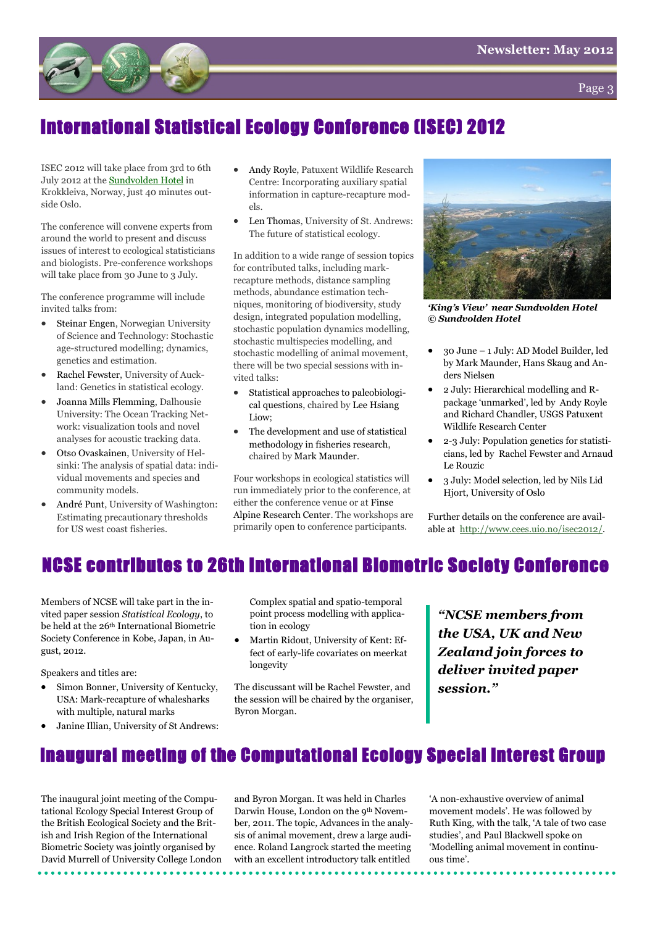



### International Statistical Ecology Conference (ISEC) 2012

ISEC 2012 will take place from 3rd to 6th July 2012 at the [Sundvolden Hotel](http://www.sundvolden.no/EN/ConferenceEvent.aspx) in Krokkleiva, Norway, just 40 minutes outside Oslo.

The conference will convene experts from around the world to present and discuss issues of interest to ecological statisticians and biologists. Pre-conference workshops will take place from 30 June to 3 July.

The conference programme will include invited talks from:

- Steinar Engen, Norwegian University of Science and Technology: Stochastic age-structured modelling; dynamics, genetics and estimation.
- Rachel Fewster, University of Auckland: Genetics in statistical ecology.
- Joanna Mills Flemming, Dalhousie University: The Ocean Tracking Network: visualization tools and novel analyses for acoustic tracking data.
- Otso Ovaskainen, University of Helsinki: The analysis of spatial data: individual movements and species and community models.
- André Punt, University of Washington: Estimating precautionary thresholds for US west coast fisheries.
- Andy Royle, Patuxent Wildlife Research Centre: Incorporating auxiliary spatial information in capture-recapture models.
- Len Thomas, University of St. Andrews: The future of statistical ecology.

In addition to a wide range of session topics for contributed talks, including markrecapture methods, distance sampling methods, abundance estimation techniques, monitoring of biodiversity, study design, integrated population modelling, stochastic population dynamics modelling, stochastic multispecies modelling, and stochastic modelling of animal movement, there will be two special sessions with invited talks:

- Statistical approaches to paleobiological questions, chaired by Lee Hsiang Liow:
- The development and use of statistical methodology in fisheries research, chaired by Mark Maunder.

Four workshops in ecological statistics will run immediately prior to the conference, at either the conference venue or at Finse Alpine Research Center. The workshops are primarily open to conference participants.



*"King"s View" near Sundvolden Hotel © Sundvolden Hotel*

- 30 June 1 July: AD Model Builder, led by Mark Maunder, Hans Skaug and Anders Nielsen
- 2 July: Hierarchical modelling and Rpackage 'unmarked', led by Andy Royle and Richard Chandler, USGS Patuxent Wildlife Research Center
- 2-3 July: Population genetics for statisticians, led by Rachel Fewster and Arnaud Le Rouzic
- 3 July: Model selection, led by Nils Lid Hjort, University of Oslo

Further details on the conference are available at [http://www.cees.uio.no/isec2012/.](http://www.cees.uio.no/isec2012)

#### NCSE contributes to 26th International Biometric Society Conference

Members of NCSE will take part in the invited paper session *Statistical Ecology*, to be held at the 26th International Biometric Society Conference in Kobe, Japan, in August, 2012.

Speakers and titles are:

- Simon Bonner, University of Kentucky, USA: Mark-recapture of whalesharks with multiple, natural marks
- Janine Illian, University of St Andrews:

Complex spatial and spatio-temporal point process modelling with application in ecology

 Martin Ridout, University of Kent: Effect of early-life covariates on meerkat longevity

The discussant will be Rachel Fewster, and the session will be chaired by the organiser, Byron Morgan.

*"NCSE members from the USA, UK and New Zealand join forces to deliver invited paper session."*

### Inaugural meeting of the Computational Ecology Special Interest Group

The inaugural joint meeting of the Computational Ecology Special Interest Group of the British Ecological Society and the British and Irish Region of the International Biometric Society was jointly organised by David Murrell of University College London

and Byron Morgan. It was held in Charles Darwin House, London on the 9th November, 2011. The topic, Advances in the analysis of animal movement, drew a large audience. Roland Langrock started the meeting with an excellent introductory talk entitled

'A non-exhaustive overview of animal movement models'. He was followed by Ruth King, with the talk, 'A tale of two case studies', and Paul Blackwell spoke on 'Modelling animal movement in continuous time'.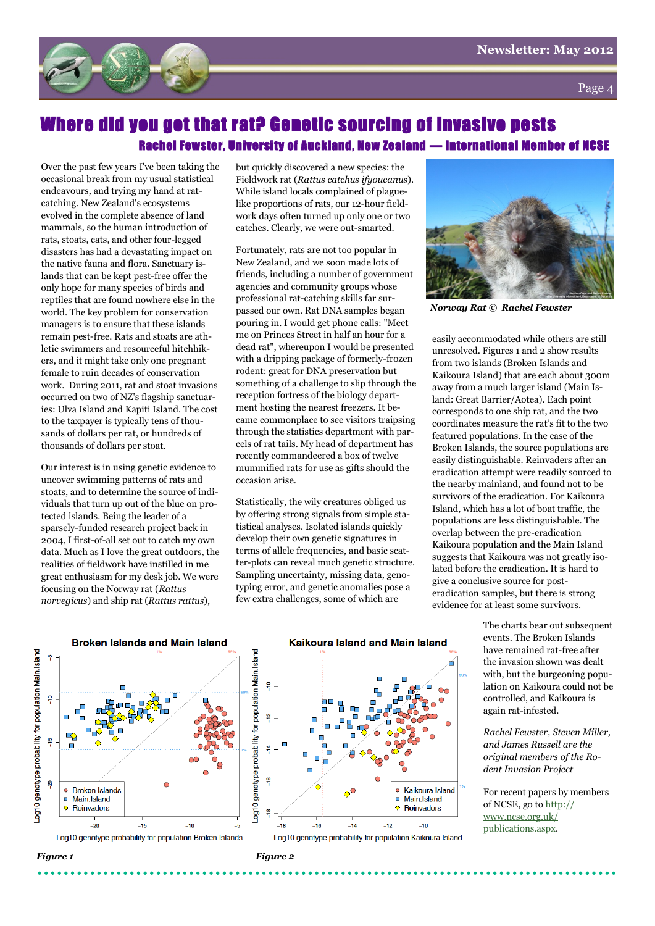



#### here did you get that rat? Genetic sourcing of invasive pests Rachel Fewster, University of Auckland, New Zealand — International Member of NCSE

Over the past few years I've been taking the occasional break from my usual statistical endeavours, and trying my hand at ratcatching. New Zealand's ecosystems evolved in the complete absence of land mammals, so the human introduction of rats, stoats, cats, and other four-legged disasters has had a devastating impact on the native fauna and flora. Sanctuary islands that can be kept pest-free offer the only hope for many species of birds and reptiles that are found nowhere else in the world. The key problem for conservation managers is to ensure that these islands remain pest-free. Rats and stoats are athletic swimmers and resourceful hitchhikers, and it might take only one pregnant female to ruin decades of conservation work. During 2011, rat and stoat invasions occurred on two of NZ's flagship sanctuaries: Ulva Island and Kapiti Island. The cost to the taxpayer is typically tens of thousands of dollars per rat, or hundreds of thousands of dollars per stoat.

Our interest is in using genetic evidence to uncover swimming patterns of rats and stoats, and to determine the source of individuals that turn up out of the blue on protected islands. Being the leader of a sparsely-funded research project back in 2004, I first-of-all set out to catch my own data. Much as I love the great outdoors, the realities of fieldwork have instilled in me great enthusiasm for my desk job. We were focusing on the Norway rat (*Rattus norvegicus*) and ship rat (*Rattus rattus*),

but quickly discovered a new species: the Fieldwork rat (*Rattus catchus ifyoucanus*). While island locals complained of plaguelike proportions of rats, our 12-hour fieldwork days often turned up only one or two catches. Clearly, we were out-smarted.

Fortunately, rats are not too popular in New Zealand, and we soon made lots of friends, including a number of government agencies and community groups whose professional rat-catching skills far surpassed our own. Rat DNA samples began pouring in. I would get phone calls: "Meet me on Princes Street in half an hour for a dead rat", whereupon I would be presented with a dripping package of formerly-frozen rodent: great for DNA preservation but something of a challenge to slip through the reception fortress of the biology department hosting the nearest freezers. It became commonplace to see visitors traipsing through the statistics department with parcels of rat tails. My head of department has recently commandeered a box of twelve mummified rats for use as gifts should the occasion arise.

Statistically, the wily creatures obliged us by offering strong signals from simple statistical analyses. Isolated islands quickly develop their own genetic signatures in terms of allele frequencies, and basic scatter-plots can reveal much genetic structure. Sampling uncertainty, missing data, genotyping error, and genetic anomalies pose a few extra challenges, some of which are



*Norway Rat © Rachel Fewster*

easily accommodated while others are still unresolved. Figures 1 and 2 show results from two islands (Broken Islands and Kaikoura Island) that are each about 300m away from a much larger island (Main Island: Great Barrier/Aotea). Each point corresponds to one ship rat, and the two coordinates measure the rat's fit to the two featured populations. In the case of the Broken Islands, the source populations are easily distinguishable. Reinvaders after an eradication attempt were readily sourced to the nearby mainland, and found not to be survivors of the eradication. For Kaikoura Island, which has a lot of boat traffic, the populations are less distinguishable. The overlap between the pre-eradication Kaikoura population and the Main Island suggests that Kaikoura was not greatly isolated before the eradication. It is hard to give a conclusive source for posteradication samples, but there is strong evidence for at least some survivors.

> The charts bear out subsequent events. The Broken Islands have remained rat-free after the invasion shown was dealt with, but the burgeoning population on Kaikoura could not be controlled, and Kaikoura is again rat-infested.

*Rachel Fewster, Steven Miller, and James Russell are the original members of the Rodent Invasion Project*

For recent papers by members of NCSE, go to [http://](http://www.ncse.org.uk/publications.aspx) [www.ncse.org.uk/](http://www.ncse.org.uk/publications.aspx) [publications.aspx.](http://www.ncse.org.uk/publications.aspx)



#### Kaikoura Island and Main Island

۴

Kaikoura.Island

■ Main.Island

Ò

 $-12$ 

Reinvaders

 $-10$ 

 $-18$ 

 $-16$ 

 $-14$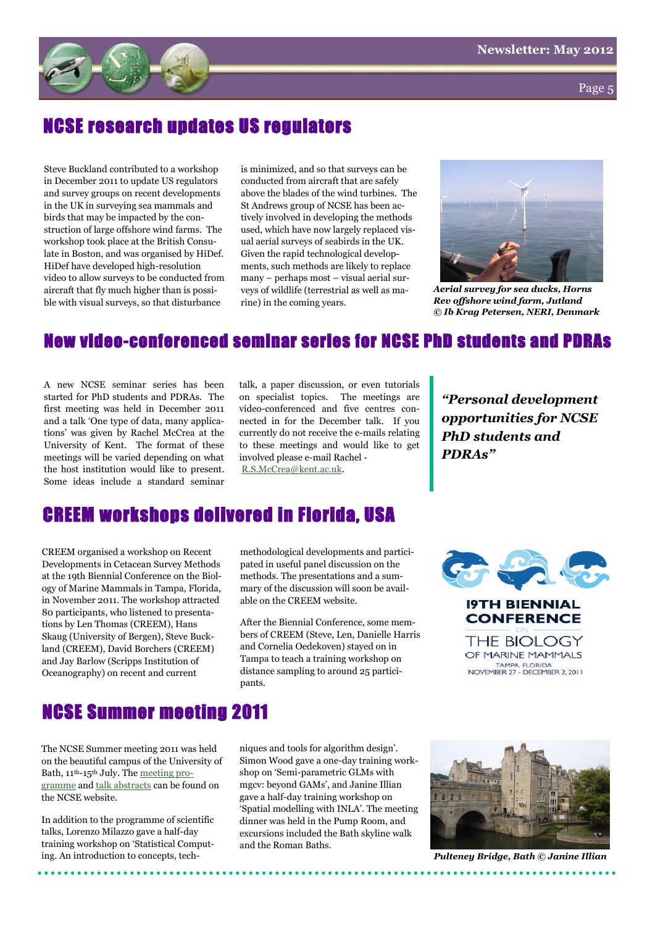

Page 5

### NCSE research updates US regulators

Steve Buckland contributed to a workshop in December 2011 to update US regulators and survey groups on recent developments in the UK in surveying sea mammals and birds that may be impacted by the construction of large offshore wind farms. The workshop took place at the British Consulate in Boston, and was organised by HiDef. HiDef have developed high-resolution video to allow surveys to be conducted from aircraft that fly much higher than is possible with visual surveys, so that disturbance

is minimized, and so that surveys can be conducted from aircraft that are safely above the blades of the wind turbines. The St Andrews group of NCSE has been actively involved in developing the methods used, which have now largely replaced visual aerial surveys of seabirds in the UK. Given the rapid technological developments, such methods are likely to replace many – perhaps most – visual aerial surveys of wildlife (terrestrial as well as marine) in the coming years.



*Aerial survey for sea ducks, Horns Rev offshore wind farm, Jutland © Ib Krag Petersen, NERI, Denmark*

#### New video-conferenced seminar series for NCSE PhD students and PDRAs

A new NCSE seminar series has been started for PhD students and PDRAs. The first meeting was held in December 2011 and a talk 'One type of data, many applications' was given by Rachel McCrea at the University of Kent. The format of these meetings will be varied depending on what the host institution would like to present. Some ideas include a standard seminar

talk, a paper discussion, or even tutorials on specialist topics. The meetings are video-conferenced and five centres connected in for the December talk. If you currently do not receive the e-mails relating to these meetings and would like to get involved please e-mail Rachel - [R.S.McCrea@kent.ac.uk.](mailto:R.S.McCrea@kent.ac.uk)

#### *"Personal development opportunities for NCSE PhD students and PDRAs"*

### CREEM workshops delivered in Florida, USA

CREEM organised a workshop on Recent Developments in Cetacean Survey Methods at the 19th Biennial Conference on the Biology of Marine Mammals in Tampa, Florida, in November 2011. The workshop attracted 80 participants, who listened to presentations by Len Thomas (CREEM), Hans Skaug (University of Bergen), Steve Buckland (CREEM), David Borchers (CREEM) and Jay Barlow (Scripps Institution of Oceanography) on recent and current

methodological developments and participated in useful panel discussion on the methods. The presentations and a summary of the discussion will soon be available on the CREEM website.

After the Biennial Conference, some members of CREEM (Steve, Len, Danielle Harris and Cornelia Oedekoven) stayed on in Tampa to teach a training workshop on distance sampling to around 25 participants.





NCSE Summer meeting 2011

The NCSE Summer meeting 2011 was held on the beautiful campus of the University of Bath, 11<sup>th</sup>-15<sup>th</sup> July. The [meeting pro](http://www.ncse.org.uk/documents/workshop/workshop2011/AbstractsJuly2011.pdf)[gramme](http://www.ncse.org.uk/documents/workshop/workshop2011/AbstractsJuly2011.pdf) and [talk abstracts](http://www.ncse.org.uk/documents/workshop/workshop2011/Programme2011.pdf) can be found on the NCSE website.

In addition to the programme of scientific talks, Lorenzo Milazzo gave a half-day training workshop on 'Statistical Computing. An introduction to concepts, techniques and tools for algorithm design'. Simon Wood gave a one-day training workshop on 'Semi-parametric GLMs with mgcv: beyond GAMs', and Janine Illian gave a half-day training workshop on 'Spatial modelling with INLA'. The meeting dinner was held in the Pump Room, and excursions included the Bath skyline walk and the Roman Baths.



*Pulteney Bridge, Bath © Janine Illian*